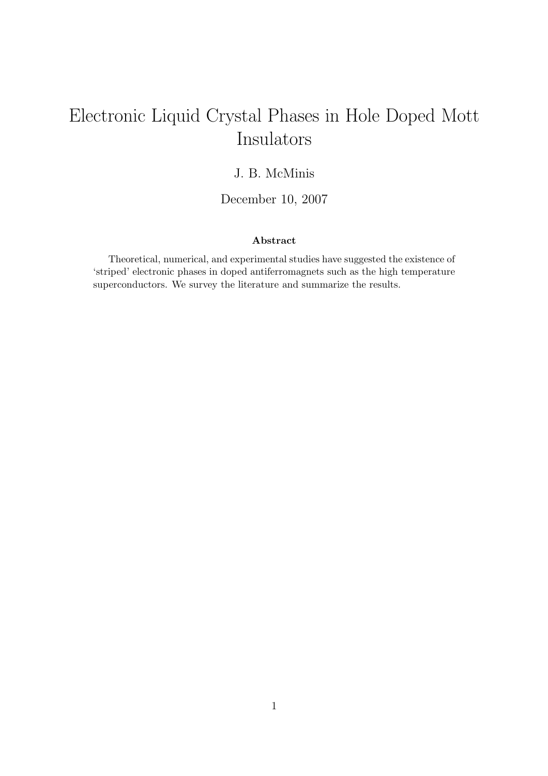# Electronic Liquid Crystal Phases in Hole Doped Mott Insulators

## J. B. McMinis

December 10, 2007

#### Abstract

Theoretical, numerical, and experimental studies have suggested the existence of 'striped' electronic phases in doped antiferromagnets such as the high temperature superconductors. We survey the literature and summarize the results.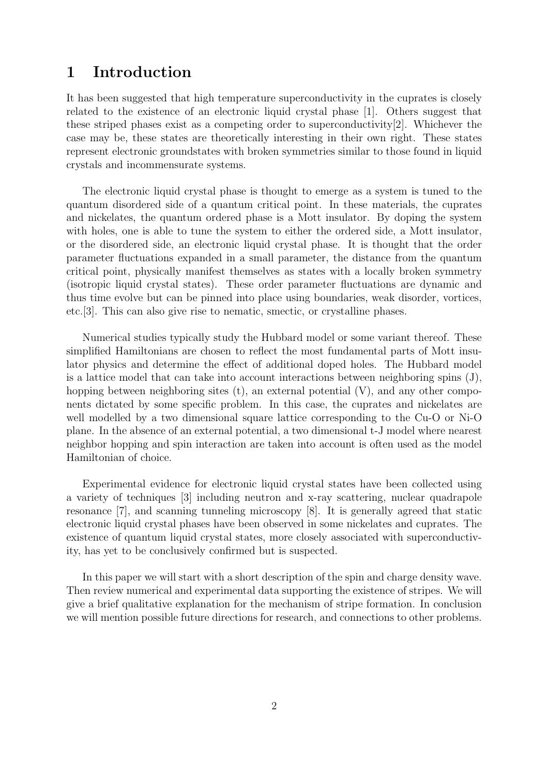# 1 Introduction

It has been suggested that high temperature superconductivity in the cuprates is closely related to the existence of an electronic liquid crystal phase [1]. Others suggest that these striped phases exist as a competing order to superconductivity[2]. Whichever the case may be, these states are theoretically interesting in their own right. These states represent electronic groundstates with broken symmetries similar to those found in liquid crystals and incommensurate systems.

The electronic liquid crystal phase is thought to emerge as a system is tuned to the quantum disordered side of a quantum critical point. In these materials, the cuprates and nickelates, the quantum ordered phase is a Mott insulator. By doping the system with holes, one is able to tune the system to either the ordered side, a Mott insulator, or the disordered side, an electronic liquid crystal phase. It is thought that the order parameter fluctuations expanded in a small parameter, the distance from the quantum critical point, physically manifest themselves as states with a locally broken symmetry (isotropic liquid crystal states). These order parameter fluctuations are dynamic and thus time evolve but can be pinned into place using boundaries, weak disorder, vortices, etc.[3]. This can also give rise to nematic, smectic, or crystalline phases.

Numerical studies typically study the Hubbard model or some variant thereof. These simplified Hamiltonians are chosen to reflect the most fundamental parts of Mott insulator physics and determine the effect of additional doped holes. The Hubbard model is a lattice model that can take into account interactions between neighboring spins (J), hopping between neighboring sites  $(t)$ , an external potential  $(V)$ , and any other components dictated by some specific problem. In this case, the cuprates and nickelates are well modelled by a two dimensional square lattice corresponding to the Cu-O or Ni-O plane. In the absence of an external potential, a two dimensional t-J model where nearest neighbor hopping and spin interaction are taken into account is often used as the model Hamiltonian of choice.

Experimental evidence for electronic liquid crystal states have been collected using a variety of techniques [3] including neutron and x-ray scattering, nuclear quadrapole resonance [7], and scanning tunneling microscopy [8]. It is generally agreed that static electronic liquid crystal phases have been observed in some nickelates and cuprates. The existence of quantum liquid crystal states, more closely associated with superconductivity, has yet to be conclusively confirmed but is suspected.

In this paper we will start with a short description of the spin and charge density wave. Then review numerical and experimental data supporting the existence of stripes. We will give a brief qualitative explanation for the mechanism of stripe formation. In conclusion we will mention possible future directions for research, and connections to other problems.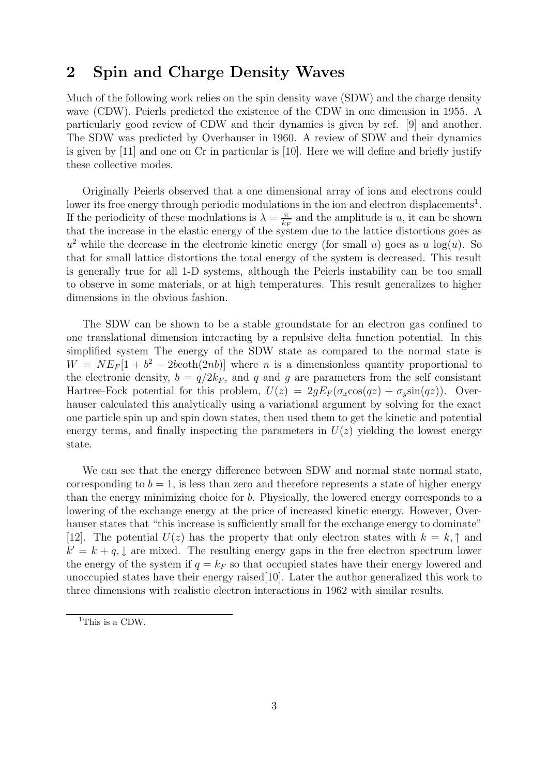# 2 Spin and Charge Density Waves

Much of the following work relies on the spin density wave (SDW) and the charge density wave (CDW). Peierls predicted the existence of the CDW in one dimension in 1955. A particularly good review of CDW and their dynamics is given by ref. [9] and another. The SDW was predicted by Overhauser in 1960. A review of SDW and their dynamics is given by [11] and one on Cr in particular is [10]. Here we will define and briefly justify these collective modes.

Originally Peierls observed that a one dimensional array of ions and electrons could lower its free energy through periodic modulations in the ion and electron displacements<sup>1</sup>. If the periodicity of these modulations is  $\lambda = \frac{\pi}{k}$  $\frac{\pi}{k_F}$  and the amplitude is u, it can be shown that the increase in the elastic energy of the system due to the lattice distortions goes as  $u^2$  while the decrease in the electronic kinetic energy (for small u) goes as u log(u). So that for small lattice distortions the total energy of the system is decreased. This result is generally true for all 1-D systems, although the Peierls instability can be too small to observe in some materials, or at high temperatures. This result generalizes to higher dimensions in the obvious fashion.

The SDW can be shown to be a stable groundstate for an electron gas confined to one translational dimension interacting by a repulsive delta function potential. In this simplified system The energy of the SDW state as compared to the normal state is  $W = NE_F[1 + b^2 - 2bcoth(2nb)]$  where *n* is a dimensionless quantity proportional to the electronic density,  $b = q/2k_F$ , and q and q are parameters from the self consistant Hartree-Fock potential for this problem,  $U(z) = 2gE_F(\sigma_x\cos(qz) + \sigma_y\sin(qz))$ . Overhauser calculated this analytically using a variational argument by solving for the exact one particle spin up and spin down states, then used them to get the kinetic and potential energy terms, and finally inspecting the parameters in  $U(z)$  yielding the lowest energy state.

We can see that the energy difference between SDW and normal state normal state, corresponding to  $b = 1$ , is less than zero and therefore represents a state of higher energy than the energy minimizing choice for b. Physically, the lowered energy corresponds to a lowering of the exchange energy at the price of increased kinetic energy. However, Overhauser states that "this increase is sufficiently small for the exchange energy to dominate" [12]. The potential  $U(z)$  has the property that only electron states with  $k = k, \uparrow$  and  $k' = k + q$ , are mixed. The resulting energy gaps in the free electron spectrum lower the energy of the system if  $q = k_F$  so that occupied states have their energy lowered and unoccupied states have their energy raised[10]. Later the author generalized this work to three dimensions with realistic electron interactions in 1962 with similar results.

<sup>&</sup>lt;sup>1</sup>This is a CDW.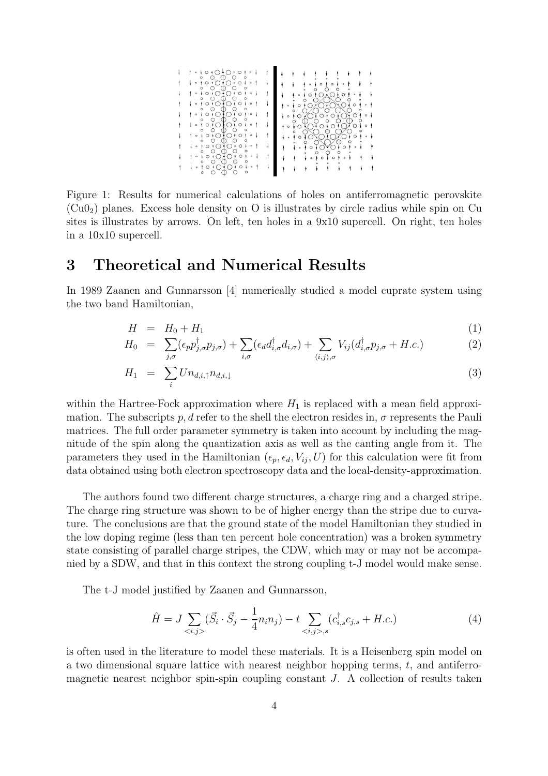

Figure 1: Results for numerical calculations of holes on antiferromagnetic perovskite  $(Cu0<sub>2</sub>)$  planes. Excess hole density on O is illustrates by circle radius while spin on Cu sites is illustrates by arrows. On left, ten holes in a 9x10 supercell. On right, ten holes in a 10x10 supercell.

## 3 Theoretical and Numerical Results

In 1989 Zaanen and Gunnarsson [4] numerically studied a model cuprate system using the two band Hamiltonian,

$$
H = H_0 + H_1 \tag{1}
$$

$$
H_0 = \sum_{j,\sigma} (\epsilon_p p_{j,\sigma}^\dagger p_{j,\sigma}) + \sum_{i,\sigma} (\epsilon_d d_{i,\sigma}^\dagger d_{i,\sigma}) + \sum_{\langle i,j \rangle,\sigma} V_{ij} (d_{i,\sigma}^\dagger p_{j,\sigma} + H.c.) \tag{2}
$$

$$
H_1 = \sum_i U n_{d,i,\uparrow} n_{d,i,\downarrow} \tag{3}
$$

within the Hartree-Fock approximation where  $H_1$  is replaced with a mean field approximation. The subscripts p, d refer to the shell the electron resides in,  $\sigma$  represents the Pauli matrices. The full order parameter symmetry is taken into account by including the magnitude of the spin along the quantization axis as well as the canting angle from it. The parameters they used in the Hamiltonian  $(\epsilon_p, \epsilon_d, V_i, U)$  for this calculation were fit from data obtained using both electron spectroscopy data and the local-density-approximation.

The authors found two different charge structures, a charge ring and a charged stripe. The charge ring structure was shown to be of higher energy than the stripe due to curvature. The conclusions are that the ground state of the model Hamiltonian they studied in the low doping regime (less than ten percent hole concentration) was a broken symmetry state consisting of parallel charge stripes, the CDW, which may or may not be accompanied by a SDW, and that in this context the strong coupling t-J model would make sense.

The t-J model justified by Zaanen and Gunnarsson,

$$
\hat{H} = J \sum_{\langle i,j \rangle} (\vec{S}_i \cdot \vec{S}_j - \frac{1}{4} n_i n_j) - t \sum_{\langle i,j \rangle, s} (c_{i,s}^\dagger c_{j,s} + H.c.) \tag{4}
$$

is often used in the literature to model these materials. It is a Heisenberg spin model on a two dimensional square lattice with nearest neighbor hopping terms,  $t$ , and antiferromagnetic nearest neighbor spin-spin coupling constant  $J$ . A collection of results taken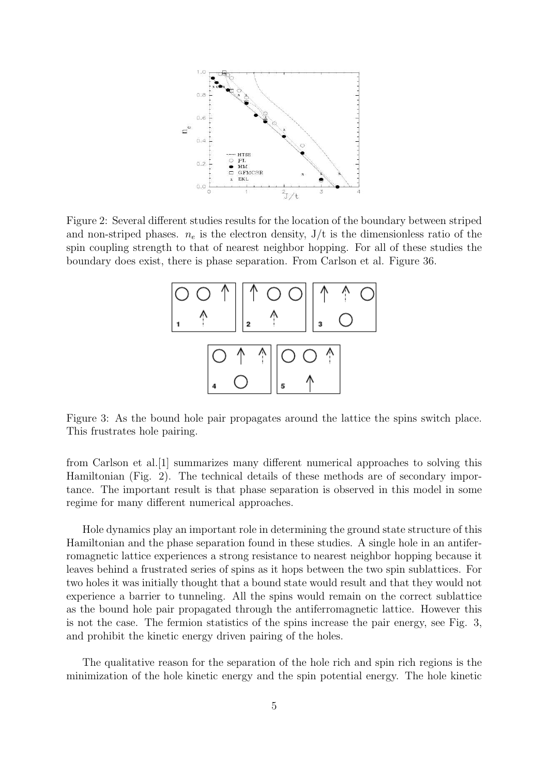

Figure 2: Several different studies results for the location of the boundary between striped and non-striped phases.  $n_e$  is the electron density,  $J/t$  is the dimensionless ratio of the spin coupling strength to that of nearest neighbor hopping. For all of these studies the boundary does exist, there is phase separation. From Carlson et al. Figure 36.



Figure 3: As the bound hole pair propagates around the lattice the spins switch place. This frustrates hole pairing.

from Carlson et al.[1] summarizes many different numerical approaches to solving this Hamiltonian (Fig. 2). The technical details of these methods are of secondary importance. The important result is that phase separation is observed in this model in some regime for many different numerical approaches.

Hole dynamics play an important role in determining the ground state structure of this Hamiltonian and the phase separation found in these studies. A single hole in an antiferromagnetic lattice experiences a strong resistance to nearest neighbor hopping because it leaves behind a frustrated series of spins as it hops between the two spin sublattices. For two holes it was initially thought that a bound state would result and that they would not experience a barrier to tunneling. All the spins would remain on the correct sublattice as the bound hole pair propagated through the antiferromagnetic lattice. However this is not the case. The fermion statistics of the spins increase the pair energy, see Fig. 3, and prohibit the kinetic energy driven pairing of the holes.

The qualitative reason for the separation of the hole rich and spin rich regions is the minimization of the hole kinetic energy and the spin potential energy. The hole kinetic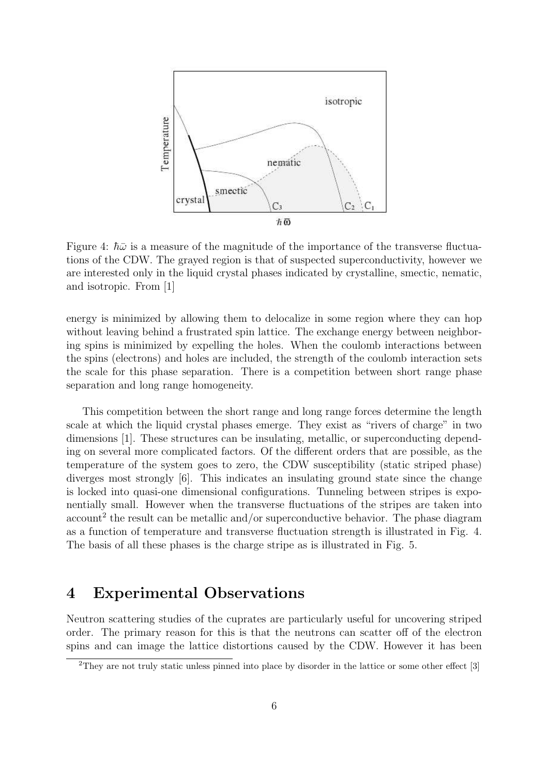

Figure 4:  $\hbar\bar{\omega}$  is a measure of the magnitude of the importance of the transverse fluctuations of the CDW. The grayed region is that of suspected superconductivity, however we are interested only in the liquid crystal phases indicated by crystalline, smectic, nematic, and isotropic. From [1]

energy is minimized by allowing them to delocalize in some region where they can hop without leaving behind a frustrated spin lattice. The exchange energy between neighboring spins is minimized by expelling the holes. When the coulomb interactions between the spins (electrons) and holes are included, the strength of the coulomb interaction sets the scale for this phase separation. There is a competition between short range phase separation and long range homogeneity.

This competition between the short range and long range forces determine the length scale at which the liquid crystal phases emerge. They exist as "rivers of charge" in two dimensions [1]. These structures can be insulating, metallic, or superconducting depending on several more complicated factors. Of the different orders that are possible, as the temperature of the system goes to zero, the CDW susceptibility (static striped phase) diverges most strongly [6]. This indicates an insulating ground state since the change is locked into quasi-one dimensional configurations. Tunneling between stripes is exponentially small. However when the transverse fluctuations of the stripes are taken into  $\rm{account}^{2}$  the result can be metallic and/or superconductive behavior. The phase diagram as a function of temperature and transverse fluctuation strength is illustrated in Fig. 4. The basis of all these phases is the charge stripe as is illustrated in Fig. 5.

# 4 Experimental Observations

Neutron scattering studies of the cuprates are particularly useful for uncovering striped order. The primary reason for this is that the neutrons can scatter off of the electron spins and can image the lattice distortions caused by the CDW. However it has been

<sup>&</sup>lt;sup>2</sup>They are not truly static unless pinned into place by disorder in the lattice or some other effect [3]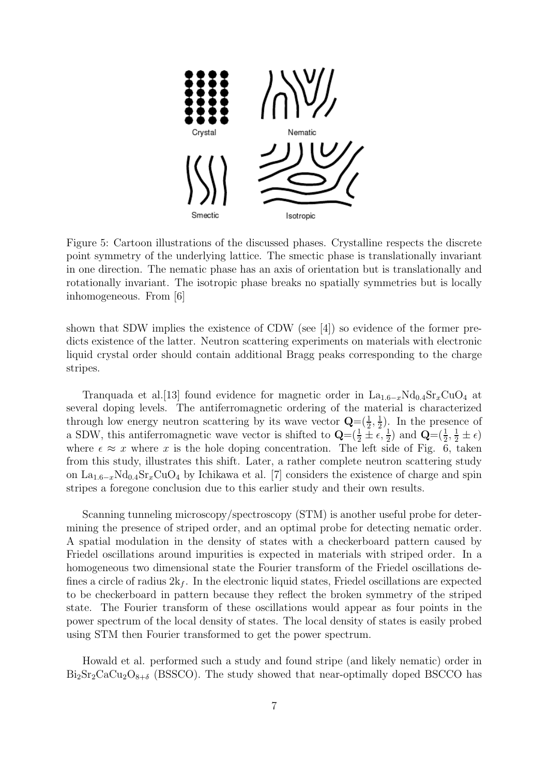

Figure 5: Cartoon illustrations of the discussed phases. Crystalline respects the discrete point symmetry of the underlying lattice. The smectic phase is translationally invariant in one direction. The nematic phase has an axis of orientation but is translationally and rotationally invariant. The isotropic phase breaks no spatially symmetries but is locally inhomogeneous. From [6]

shown that SDW implies the existence of CDW (see [4]) so evidence of the former predicts existence of the latter. Neutron scattering experiments on materials with electronic liquid crystal order should contain additional Bragg peaks corresponding to the charge stripes.

Tranquada et al.[13] found evidence for magnetic order in  $La_{1.6-x}Nd_{0.4}Sr_xCuO_4$  at several doping levels. The antiferromagnetic ordering of the material is characterized through low energy neutron scattering by its wave vector  $\mathbf{Q} = (\frac{1}{2}, \frac{1}{2})$  $(\frac{1}{2})$ . In the presence of a SDW, this antiferromagnetic wave vector is shifted to  $\mathbf{Q} = (\frac{1}{2} \pm \epsilon, \frac{1}{2})$  and  $\mathbf{Q} = (\frac{1}{2}, \frac{1}{2} \pm \epsilon)$ where  $\epsilon \approx x$  where x is the hole doping concentration. The left side of Fig. 6, taken from this study, illustrates this shift. Later, a rather complete neutron scattering study on La<sub>1.6−x</sub>Nd<sub>0.4</sub>Sr<sub>x</sub>CuO<sub>4</sub> by Ichikawa et al. [7] considers the existence of charge and spin stripes a foregone conclusion due to this earlier study and their own results.

Scanning tunneling microscopy/spectroscopy (STM) is another useful probe for determining the presence of striped order, and an optimal probe for detecting nematic order. A spatial modulation in the density of states with a checkerboard pattern caused by Friedel oscillations around impurities is expected in materials with striped order. In a homogeneous two dimensional state the Fourier transform of the Friedel oscillations defines a circle of radius  $2k_f$ . In the electronic liquid states, Friedel oscillations are expected to be checkerboard in pattern because they reflect the broken symmetry of the striped state. The Fourier transform of these oscillations would appear as four points in the power spectrum of the local density of states. The local density of states is easily probed using STM then Fourier transformed to get the power spectrum.

Howald et al. performed such a study and found stripe (and likely nematic) order in  $Bi_2Sr_2CaCu_2O_{8+\delta}$  (BSSCO). The study showed that near-optimally doped BSCCO has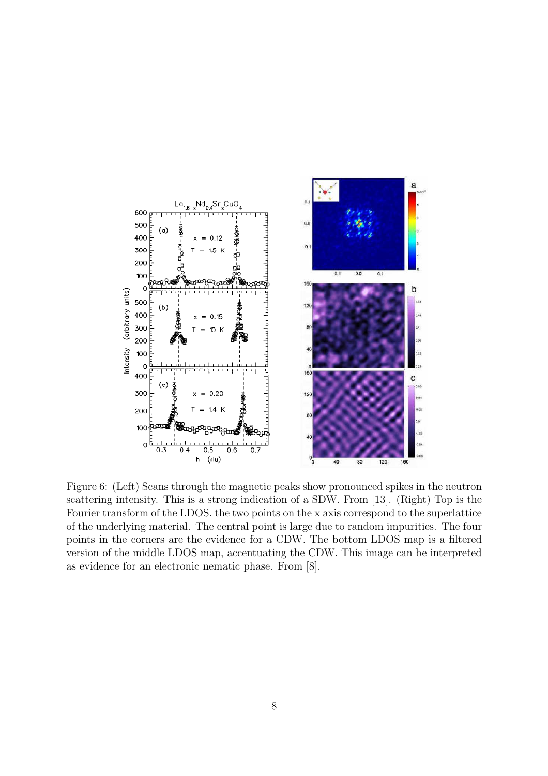

Figure 6: (Left) Scans through the magnetic peaks show pronounced spikes in the neutron scattering intensity. This is a strong indication of a SDW. From [13]. (Right) Top is the Fourier transform of the LDOS. the two points on the x axis correspond to the superlattice of the underlying material. The central point is large due to random impurities. The four points in the corners are the evidence for a CDW. The bottom LDOS map is a filtered version of the middle LDOS map, accentuating the CDW. This image can be interpreted as evidence for an electronic nematic phase. From [8].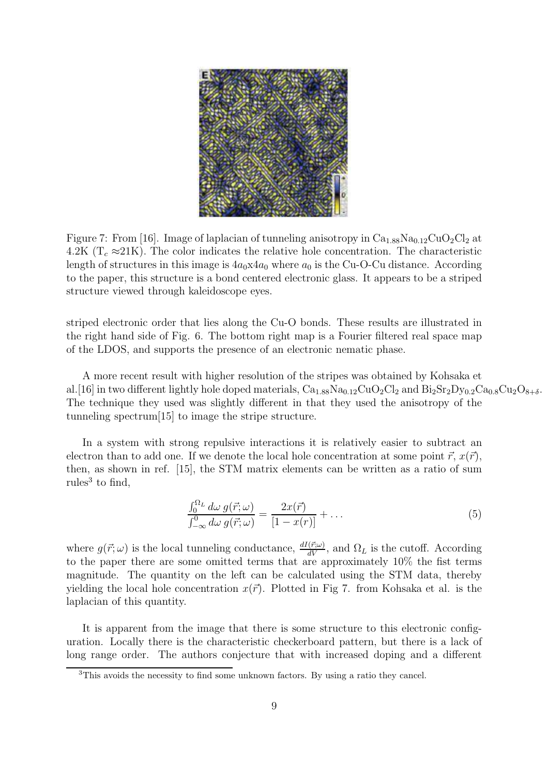

Figure 7: From [16]. Image of laplacian of tunneling anisotropy in  $Ca<sub>1.88</sub>Na<sub>0.12</sub>CuO<sub>2</sub>Cl<sub>2</sub>$  at 4.2K ( $T_c \approx 21$ K). The color indicates the relative hole concentration. The characteristic length of structures in this image is  $4a_0x4a_0$  where  $a_0$  is the Cu-O-Cu distance. According to the paper, this structure is a bond centered electronic glass. It appears to be a striped structure viewed through kaleidoscope eyes.

striped electronic order that lies along the Cu-O bonds. These results are illustrated in the right hand side of Fig. 6. The bottom right map is a Fourier filtered real space map of the LDOS, and supports the presence of an electronic nematic phase.

A more recent result with higher resolution of the stripes was obtained by Kohsaka et al.[16] in two different lightly hole doped materials,  $Ca_{1.88}Na_{0.12}CuO_2Cl_2$  and  $Bi_2Sr_2Dy_{0.2}Ca_{0.8}Cu_2O_{8+\delta}$ . The technique they used was slightly different in that they used the anisotropy of the tunneling spectrum[15] to image the stripe structure.

In a system with strong repulsive interactions it is relatively easier to subtract an electron than to add one. If we denote the local hole concentration at some point  $\vec{r}$ ,  $x(\vec{r})$ , then, as shown in ref. [15], the STM matrix elements can be written as a ratio of sum rules<sup>3</sup> to find,

$$
\frac{\int_0^{\Omega_L} d\omega \, g(\vec{r}; \omega)}{\int_{-\infty}^0 d\omega \, g(\vec{r}; \omega)} = \frac{2x(\vec{r})}{[1 - x(r)]} + \dots \tag{5}
$$

where  $g(\vec{r}; \omega)$  is the local tunneling conductance,  $\frac{dI(\vec{r}; \omega)}{dV}$ , and  $\Omega_L$  is the cutoff. According to the paper there are some omitted terms that are approximately 10% the fist terms magnitude. The quantity on the left can be calculated using the STM data, thereby yielding the local hole concentration  $x(\vec{r})$ . Plotted in Fig 7. from Kohsaka et al. is the laplacian of this quantity.

It is apparent from the image that there is some structure to this electronic configuration. Locally there is the characteristic checkerboard pattern, but there is a lack of long range order. The authors conjecture that with increased doping and a different

<sup>3</sup>This avoids the necessity to find some unknown factors. By using a ratio they cancel.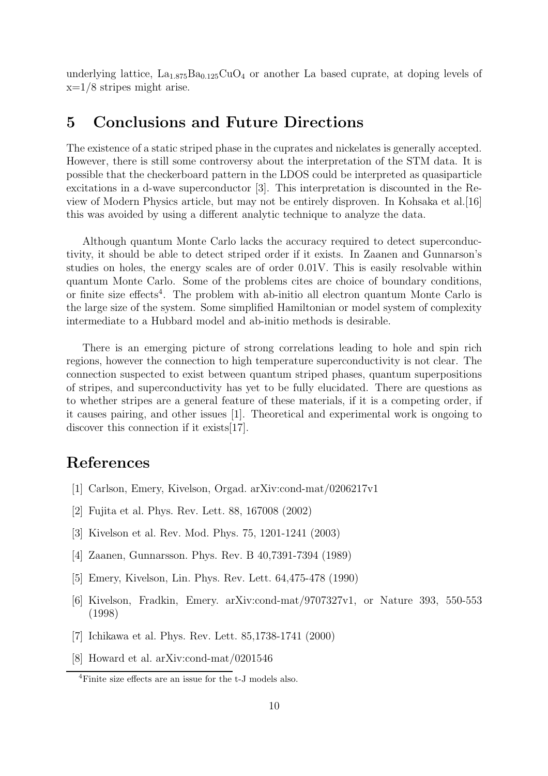underlying lattice,  $La<sub>1.875</sub>Ba<sub>0.125</sub>CuO<sub>4</sub>$  or another La based cuprate, at doping levels of  $x=1/8$  stripes might arise.

#### 5 Conclusions and Future Directions

The existence of a static striped phase in the cuprates and nickelates is generally accepted. However, there is still some controversy about the interpretation of the STM data. It is possible that the checkerboard pattern in the LDOS could be interpreted as quasiparticle excitations in a d-wave superconductor [3]. This interpretation is discounted in the Review of Modern Physics article, but may not be entirely disproven. In Kohsaka et al.[16] this was avoided by using a different analytic technique to analyze the data.

Although quantum Monte Carlo lacks the accuracy required to detect superconductivity, it should be able to detect striped order if it exists. In Zaanen and Gunnarson's studies on holes, the energy scales are of order 0.01V. This is easily resolvable within quantum Monte Carlo. Some of the problems cites are choice of boundary conditions, or finite size effects<sup>4</sup>. The problem with ab-initio all electron quantum Monte Carlo is the large size of the system. Some simplified Hamiltonian or model system of complexity intermediate to a Hubbard model and ab-initio methods is desirable.

There is an emerging picture of strong correlations leading to hole and spin rich regions, however the connection to high temperature superconductivity is not clear. The connection suspected to exist between quantum striped phases, quantum superpositions of stripes, and superconductivity has yet to be fully elucidated. There are questions as to whether stripes are a general feature of these materials, if it is a competing order, if it causes pairing, and other issues [1]. Theoretical and experimental work is ongoing to discover this connection if it exists[17].

# References

- [1] Carlson, Emery, Kivelson, Orgad. arXiv:cond-mat/0206217v1
- [2] Fujita et al. Phys. Rev. Lett. 88, 167008 (2002)
- [3] Kivelson et al. Rev. Mod. Phys. 75, 1201-1241 (2003)
- [4] Zaanen, Gunnarsson. Phys. Rev. B 40,7391-7394 (1989)
- [5] Emery, Kivelson, Lin. Phys. Rev. Lett. 64,475-478 (1990)
- [6] Kivelson, Fradkin, Emery. arXiv:cond-mat/9707327v1, or Nature 393, 550-553 (1998)
- [7] Ichikawa et al. Phys. Rev. Lett. 85,1738-1741 (2000)
- [8] Howard et al. arXiv:cond-mat/0201546

<sup>4</sup>Finite size effects are an issue for the t-J models also.